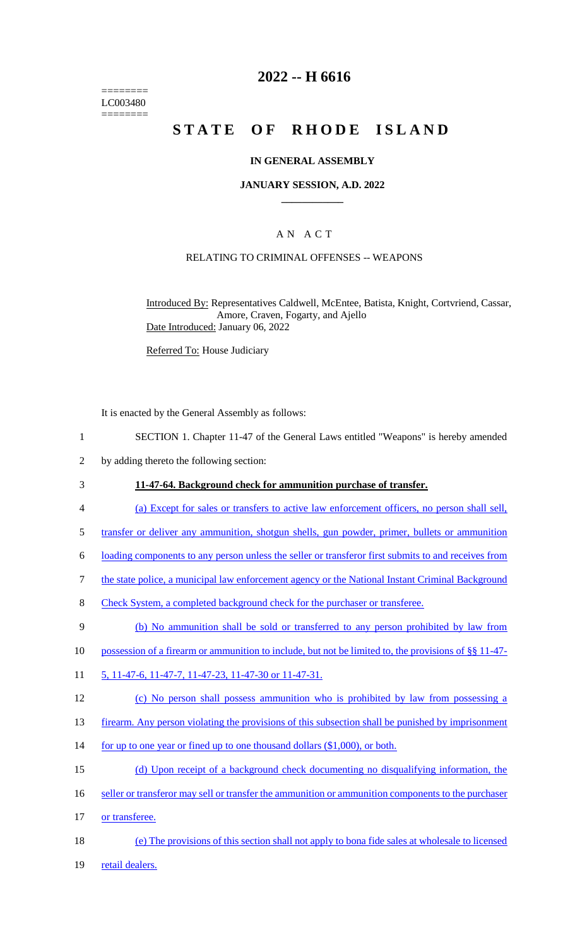======== LC003480 ========

## **2022 -- H 6616**

# **STATE OF RHODE ISLAND**

#### **IN GENERAL ASSEMBLY**

#### **JANUARY SESSION, A.D. 2022 \_\_\_\_\_\_\_\_\_\_\_\_**

## A N A C T

### RELATING TO CRIMINAL OFFENSES -- WEAPONS

Introduced By: Representatives Caldwell, McEntee, Batista, Knight, Cortvriend, Cassar, Amore, Craven, Fogarty, and Ajello Date Introduced: January 06, 2022

Referred To: House Judiciary

It is enacted by the General Assembly as follows:

- 1 SECTION 1. Chapter 11-47 of the General Laws entitled "Weapons" is hereby amended
- 2 by adding thereto the following section:

#### 3 **11-47-64. Background check for ammunition purchase of transfer.**

- 4 (a) Except for sales or transfers to active law enforcement officers, no person shall sell,
- 5 transfer or deliver any ammunition, shotgun shells, gun powder, primer, bullets or ammunition
- 6 loading components to any person unless the seller or transferor first submits to and receives from
- 7 the state police, a municipal law enforcement agency or the National Instant Criminal Background
- 8 Check System, a completed background check for the purchaser or transferee.
- 9 (b) No ammunition shall be sold or transferred to any person prohibited by law from
- 10 possession of a firearm or ammunition to include, but not be limited to, the provisions of §§ 11-47-
- 11 5, 11-47-6, 11-47-7, 11-47-23, 11-47-30 or 11-47-31.
- 12 (c) No person shall possess ammunition who is prohibited by law from possessing a
- 13 firearm. Any person violating the provisions of this subsection shall be punished by imprisonment
- 14 for up to one year or fined up to one thousand dollars (\$1,000), or both.
- 15 (d) Upon receipt of a background check documenting no disqualifying information, the
- 16 seller or transferor may sell or transfer the ammunition or ammunition components to the purchaser
- 17 or transferee.
- 18 (e) The provisions of this section shall not apply to bona fide sales at wholesale to licensed
- 19 retail dealers.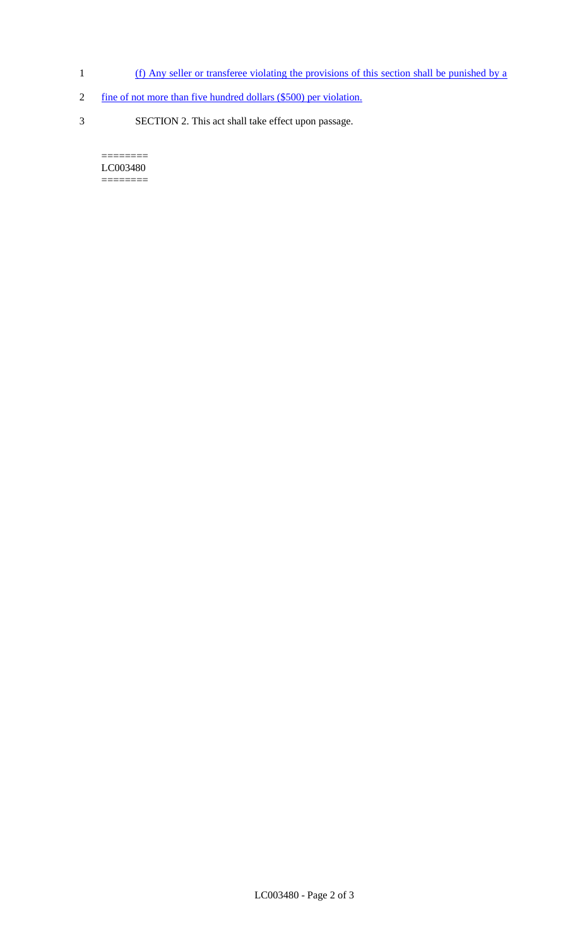- 1 (f) Any seller or transferee violating the provisions of this section shall be punished by a
- 2 fine of not more than five hundred dollars (\$500) per violation.
- 3 SECTION 2. This act shall take effect upon passage.

 $=$ LC003480 ========